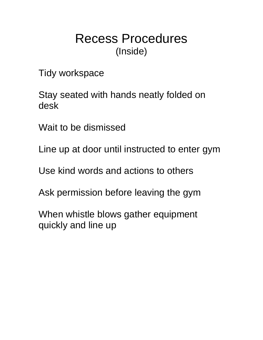# Recess Procedures (Inside)

Tidy workspace

Stay seated with hands neatly folded on desk

Wait to be dismissed

Line up at door until instructed to enter gym

Use kind words and actions to others

Ask permission before leaving the gym

When whistle blows gather equipment quickly and line up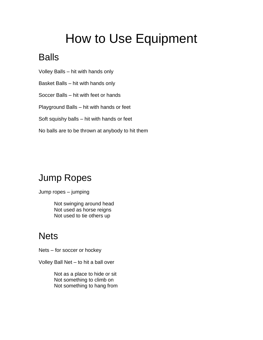# How to Use Equipment

## Balls

- Volley Balls hit with hands only
- Basket Balls hit with hands only
- Soccer Balls hit with feet or hands
- Playground Balls hit with hands or feet
- Soft squishy balls hit with hands or feet
- No balls are to be thrown at anybody to hit them

## Jump Ropes

Jump ropes – jumping

Not swinging around head Not used as horse reigns Not used to tie others up

### **Nets**

- Nets for soccer or hockey
- Volley Ball Net to hit a ball over

Not as a place to hide or sit Not something to climb on Not something to hang from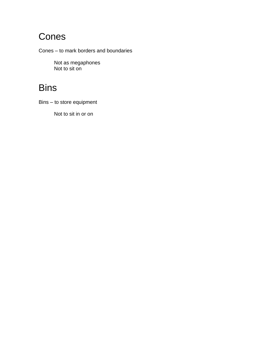### Cones

Cones – to mark borders and boundaries

Not as megaphones Not to sit on

### **Bins**

Bins – to store equipment

Not to sit in or on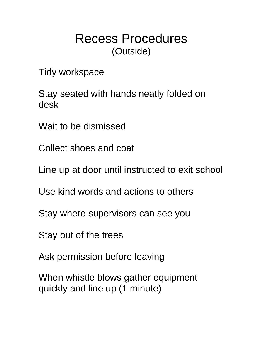# Recess Procedures (Outside)

Tidy workspace

Stay seated with hands neatly folded on desk

Wait to be dismissed

Collect shoes and coat

Line up at door until instructed to exit school

Use kind words and actions to others

Stay where supervisors can see you

Stay out of the trees

Ask permission before leaving

When whistle blows gather equipment quickly and line up (1 minute)